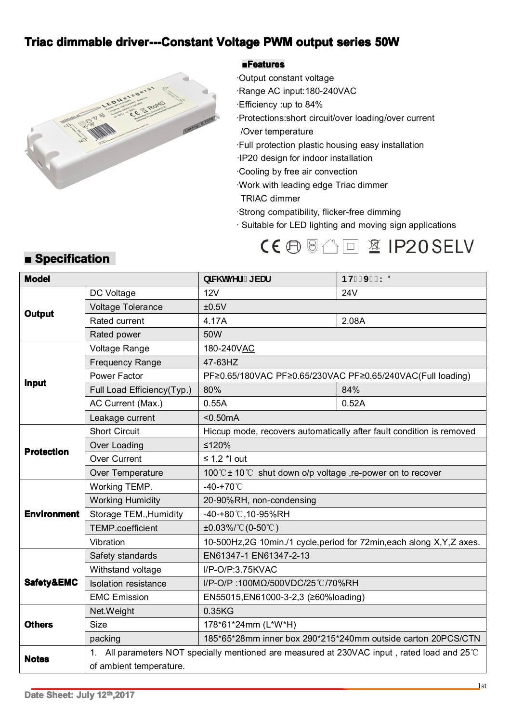## Triac dimmable driver---Constant Voltage PWM output series 50W



#### $B$ **Features**

·Output constant voltage ·Range AC input:180-240VAC

- 
- ·Efficiency :up to 84% ·Protections:short circuit/over loading/over current
	-
- /Over temperature<br>Full protection plas ·Full protection plastic housing easy installation
- ·IP20 design for indoor installation
- 
- ·Cooling by free air convection ·Work with leading edge Triac dimmer
- 
- TRIAC dimmer<br>Strong compatibility, flicker-free dimming
- · Suitable for LED lighting and moving sign applications

# $CE \oplus \text{min}$  and  $E$  ip  $20$  Selv

## $\blacksquare$  Specification

| <b>Model</b>       |                                                                                             | b]W hj YfZ [ VUf                                                       | <b>BH&amp;( J) \$K8</b> |
|--------------------|---------------------------------------------------------------------------------------------|------------------------------------------------------------------------|-------------------------|
| <b>Output</b>      | DC Voltage                                                                                  | 12V                                                                    | <b>24V</b>              |
|                    | Voltage Tolerance                                                                           | ±0.5V                                                                  |                         |
|                    | Rated current                                                                               | 4.17A                                                                  | 2.08A                   |
|                    | Rated power                                                                                 | 50W                                                                    |                         |
| <b>Input</b>       | Voltage Range                                                                               | 180-240VAC                                                             |                         |
|                    | <b>Frequency Range</b>                                                                      | 47-63HZ                                                                |                         |
|                    | <b>Power Factor</b>                                                                         | PF≥0.65/180VAC PF≥0.65/230VAC PF≥0.65/240VAC(Full loading)             |                         |
|                    | Full Load Efficiency(Typ.)                                                                  | 80%                                                                    | 84%                     |
|                    | AC Current (Max.)                                                                           | 0.55A                                                                  | 0.52A                   |
|                    | Leakage current                                                                             | $0.50mA$                                                               |                         |
| <b>Protection</b>  | <b>Short Circuit</b>                                                                        | Hiccup mode, recovers automatically after fault condition is removed   |                         |
|                    | Over Loading                                                                                | ≤120%                                                                  |                         |
|                    | <b>Over Current</b>                                                                         | $\leq$ 1.2 $*$ I out                                                   |                         |
|                    | Over Temperature                                                                            | 100℃±10℃ shut down o/p voltage ,re-power on to recover                 |                         |
| <b>Environment</b> | Working TEMP.                                                                               | $-40-+70^{\circ}$ C                                                    |                         |
|                    | <b>Working Humidity</b>                                                                     | 20-90%RH, non-condensing                                               |                         |
|                    | Storage TEM., Humidity                                                                      | -40-+80℃,10-95%RH                                                      |                         |
|                    | <b>TEMP.coefficient</b>                                                                     | $\pm 0.03\%$ /°C(0-50°C)                                               |                         |
|                    | Vibration                                                                                   | 10-500Hz,2G 10min./1 cycle, period for 72min, each along X, Y, Z axes. |                         |
| Safety&EMC         | Safety standards                                                                            | EN61347-1 EN61347-2-13                                                 |                         |
|                    | Withstand voltage                                                                           | I/P-O/P:3.75KVAC                                                       |                         |
|                    | <b>Isolation resistance</b>                                                                 | I/P-O/P:100ΜΩ/500VDC/25 ℃/70%RH                                        |                         |
|                    | <b>EMC Emission</b>                                                                         | EN55015, EN61000-3-2, 3 (≥60% loading)                                 |                         |
| <b>Others</b>      | Net.Weight                                                                                  | 0.35KG                                                                 |                         |
|                    | Size                                                                                        | 178*61*24mm (L*W*H)                                                    |                         |
|                    | packing                                                                                     | 185*65*28mm inner box 290*215*240mm outside carton 20PCS/CTN           |                         |
| <b>Notes</b>       | 1. All parameters NOT specially mentioned are measured at 230VAC input, rated load and 25°C |                                                                        |                         |
|                    | of ambient temperature.                                                                     |                                                                        |                         |
|                    |                                                                                             |                                                                        | 1 <sub>0</sub>          |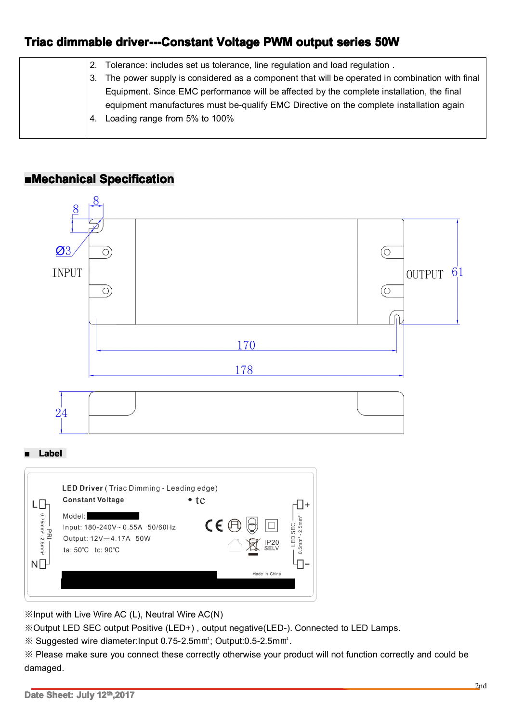## Triac dimmable driver---Constant Voltage PWM output series 50W

| 2.  | Tolerance: includes set us tolerance, line regulation and load regulation.                                                                                                                                            |
|-----|-----------------------------------------------------------------------------------------------------------------------------------------------------------------------------------------------------------------------|
| 3.  | The power supply is considered as a component that will be operated in combination with final                                                                                                                         |
| -4. | Equipment. Since EMC performance will be affected by the complete installation, the final<br>equipment manufactures must be-qualify EMC Directive on the complete installation again<br>Loading range from 5% to 100% |

### **■Mechanical Mechanical Mechanical Mechanical Specification**



※Input with Live Wire AC (L), Neutral Wire AC(N) ※Output LED SEC output Positive (LED+) , output negative(LED-). Connected to LED Lamps.<br>※ Suggested wire diameter:Input 0.75-2.5m㎡; Output:0.5-2.5m㎡.

※ Suggested wire diameter: Input 0.75-2.5mm<sup>2</sup>; Output: 0.5-2.5mm<sup>2</sup>.

※ Suggested wire diameter:Input 0.75-2.5m㎡; Output:0.5-2.5m㎡.<br>※ Please make sure you connect these correctly otherwise your product will not function correctly and could be<br>damaged. damaged.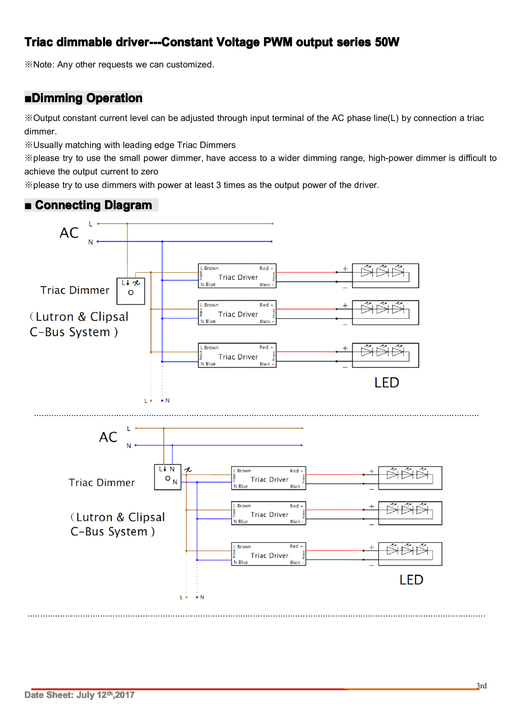## **Triac dimmable dimmableimmabledriver---Constant driver---Constantdriver---Constantriver---ConstantVoltage VoltagePWM output series 50W**

※Note: Any other requests we can customized.

#### **■Dimming DimmingDimming Operation Operation**

※Output constant current level can be adjusted through input terminal of the AC phase line(L) by connection <sup>a</sup> triac dimmer.

※Usually matching with leading edge Triac Dimmers

※please try to use the small power dimmer, have access to <sup>a</sup> wider dimming range, high-power dimmer is difficult to achieve the output current to zero

※please try to use dimmers with power at least 3 times as the output power of the driver.



.......................................................................................................................................................................................

#### $\blacksquare$  **Connecting Diagram**